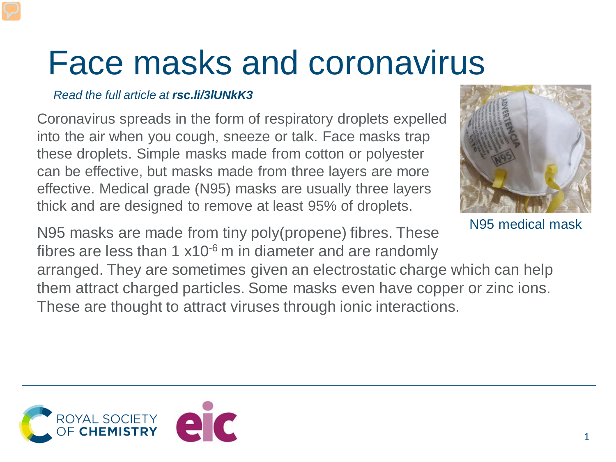## Face masks and coronavirus

## *Read the full article at rsc.li/3lUNkK3*

Coronavirus spreads in the form of respiratory droplets expelled into the air when you cough, sneeze or talk. Face masks trap these droplets. Simple masks made from cotton or polyester can be effective, but masks made from three layers are more effective. Medical grade (N95) masks are usually three layers thick and are designed to remove at least 95% of droplets.



N95 medical mask

N95 masks are made from tiny poly(propene) fibres. These fibres are less than 1  $x10^{-6}$  m in diameter and are randomly

arranged. They are sometimes given an electrostatic charge which can help them attract charged particles. Some masks even have copper or zinc ions. These are thought to attract viruses through ionic interactions.